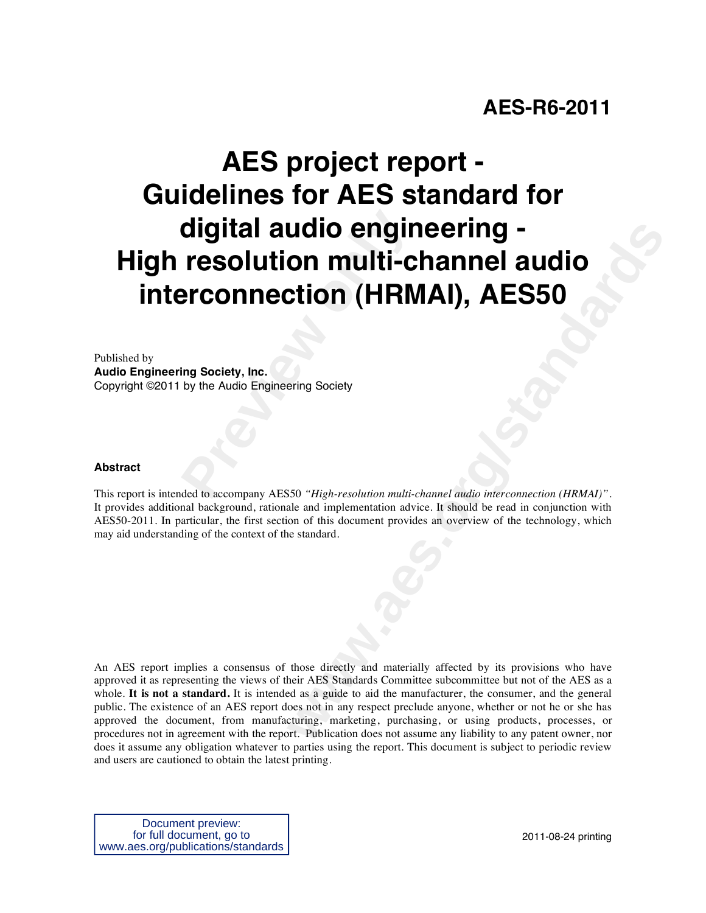# **AES-R6-2011**

# **Presolution multi-c**<br>**Presolution multi-c**<br>**Preonnection (HRM**<br>Ing Society, Inc.<br>by the Audio Engineering Society<br>Aded to accompany AES50 "High-resolution multi**undirection (HRMAI), AES50**<br> **the condition (HRMAI), AES50**<br> **example of the COMAI), AES50**<br>
Figh-resolution multi-channel audio interconnection (HRMAI)".<br>
S50 "High-resolution multi-channel audio interconnection (HRMAI)" **AES project report - Guidelines for AES standard for digital audio engineering - High resolution multi-channel audio interconnection (HRMAI), AES50**

Published by

**Audio Engineering Society, Inc.**  Copyright ©2011 by the Audio Engineering Society

#### **Abstract**

This report is intended to accompany AES50 *"High-resolution multi-channel audio interconnection (HRMAI)"*. It provides additional background, rationale and implementation advice. It should be read in conjunction with AES50-2011. In particular, the first section of this document provides an overview of the technology, which may aid understanding of the context of the standard.

An AES report implies a consensus of those directly and materially affected by its provisions who have approved it as representing the views of their AES Standards Committee subcommittee but not of the AES as a whole. It is not a standard. It is intended as a guide to aid the manufacturer, the consumer, and the general public. The existence of an AES report does not in any respect preclude anyone, whether or not he or she has approved the document, from manufacturing, marketing, purchasing, or using products, processes, or procedures not in agreement with the report. Publication does not assume any liability to any patent owner, nor does it assume any obligation whatever to parties using the report. This document is subject to periodic review and users are cautioned to obtain the latest printing.

Document preview: for full document, go to www.aes.org/publications/standards

2011-08-24 printing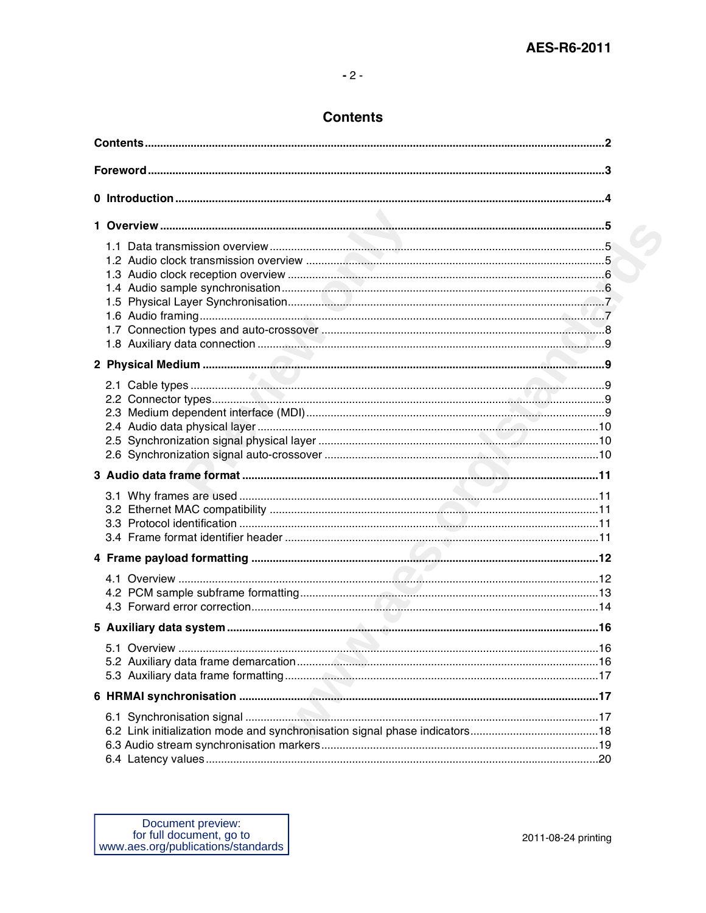## **Contents**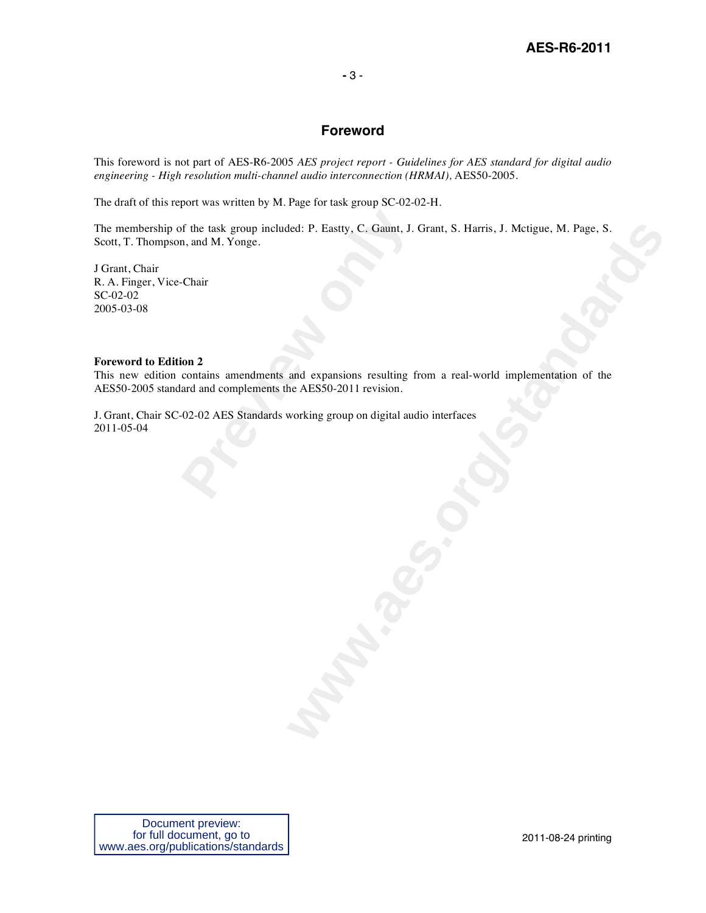#### **-** 3 -

### **Foreword**

This foreword is not part of AES-R6-2005 *AES project report - Guidelines for AES standard for digital audio engineering - High resolution multi-channel audio interconnection (HRMAI),* AES50-2005.

The draft of this report was written by M. Page for task group SC-02-02-H.

of the task group included: P. Eastty, C. Gaunt, J.<br>
n, and M. Yonge.<br>
Chair<br> **Prepies.**<br> **Previews**<br> **Previews**<br> **Previews**<br> **Previews**<br> **Previews**<br> **Previews**<br> **Previews**<br> **Previews**<br> **Previews**<br> **Previews**<br> **Previews**<br> **Example 1. Property, C. Gaman, J. Grant, S. Harris, J. Metigue, M. Page, S.**<br>and expansions resulting from a real-world implementation of the<br>metals 202011 revision. The membership of the task group included: P. Eastty, C. Gaunt, J. Grant, S. Harris, J. Mctigue, M. Page, S. Scott, T. Thompson, and M. Yonge.

J Grant, Chair R. A. Finger, Vice-Chair SC-02-02 2005-03-08

#### **Foreword to Edition 2**

This new edition contains amendments and expansions resulting from a real-world implementation of the AES50-2005 standard and complements the AES50-2011 revision.

J. Grant, Chair SC-02-02 AES Standards working group on digital audio interfaces 2011-05-04

Document preview: for full document, go to www.aes.org/publications/standards